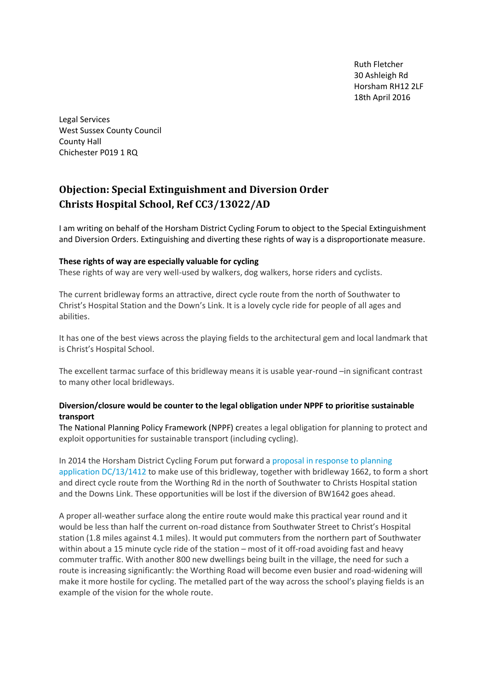Ruth Fletcher 30 Ashleigh Rd Horsham RH12 2LF 18th April 2016

Legal Services West Sussex County Council County Hall Chichester P019 1 RQ

# **Objection: Special Extinguishment and Diversion Order Christs Hospital School, Ref CC3/13022/AD**

I am writing on behalf of the Horsham District Cycling Forum to object to the Special Extinguishment and Diversion Orders. Extinguishing and diverting these rights of way is a disproportionate measure.

#### **These rights of way are especially valuable for cycling**

These rights of way are very well-used by walkers, dog walkers, horse riders and cyclists.

The current bridleway forms an attractive, direct cycle route from the north of Southwater to Christ's Hospital Station and the Down's Link. It is a lovely cycle ride for people of all ages and abilities.

It has one of the best views across the playing fields to the architectural gem and local landmark that is Christ's Hospital School.

The excellent tarmac surface of this bridleway means it is usable year-round –in significant contrast to many other local bridleways.

#### **Diversion/closure would be counter to the legal obligation under NPPF to prioritise sustainable transport**

The National Planning Policy Framework (NPPF) creates a legal obligation for planning to protect and exploit opportunities for sustainable transport (including cycling).

In 2014 the Horsham District Cycling Forum put forward a [proposal in response to planning](http://www.hdcf.org.uk/wp-content/uploads/2016/03/HDCF-comments-DC13-1412.pdf)  [application DC/13/1412](http://www.hdcf.org.uk/wp-content/uploads/2016/03/HDCF-comments-DC13-1412.pdf) to make use of this bridleway, together with bridleway 1662, to form a short and direct cycle route from the Worthing Rd in the north of Southwater to Christs Hospital station and the Downs Link. These opportunities will be lost if the diversion of BW1642 goes ahead.

A proper all-weather surface along the entire route would make this practical year round and it would be less than half the current on-road distance from Southwater Street to Christ's Hospital station (1.8 miles against 4.1 miles). It would put commuters from the northern part of Southwater within about a 15 minute cycle ride of the station – most of it off-road avoiding fast and heavy commuter traffic. With another 800 new dwellings being built in the village, the need for such a route is increasing significantly: the Worthing Road will become even busier and road-widening will make it more hostile for cycling. The metalled part of the way across the school's playing fields is an example of the vision for the whole route.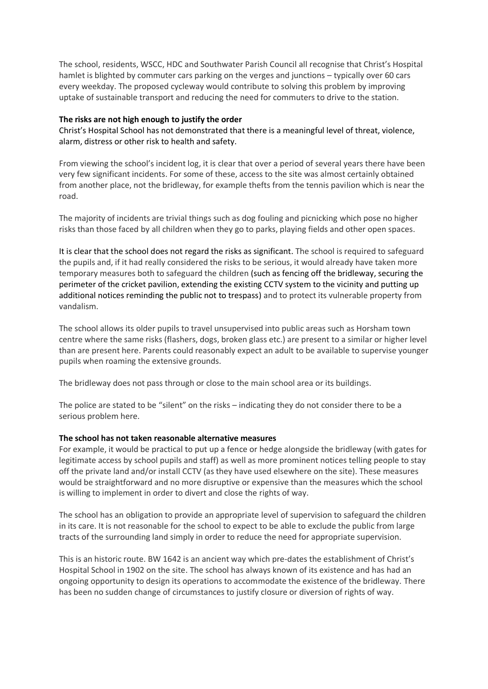The school, residents, WSCC, HDC and Southwater Parish Council all recognise that Christ's Hospital hamlet is blighted by commuter cars parking on the verges and junctions – typically over 60 cars every weekday. The proposed cycleway would contribute to solving this problem by improving uptake of sustainable transport and reducing the need for commuters to drive to the station.

#### **The risks are not high enough to justify the order**

Christ's Hospital School has not demonstrated that there is a meaningful level of threat, violence, alarm, distress or other risk to health and safety.

From viewing the school's incident log, it is clear that over a period of several years there have been very few significant incidents. For some of these, access to the site was almost certainly obtained from another place, not the bridleway, for example thefts from the tennis pavilion which is near the road.

The majority of incidents are trivial things such as dog fouling and picnicking which pose no higher risks than those faced by all children when they go to parks, playing fields and other open spaces.

It is clear that the school does not regard the risks as significant. The school is required to safeguard the pupils and, if it had really considered the risks to be serious, it would already have taken more temporary measures both to safeguard the children (such as fencing off the bridleway, securing the perimeter of the cricket pavilion, extending the existing CCTV system to the vicinity and putting up additional notices reminding the public not to trespass) and to protect its vulnerable property from vandalism.

The school allows its older pupils to travel unsupervised into public areas such as Horsham town centre where the same risks (flashers, dogs, broken glass etc.) are present to a similar or higher level than are present here. Parents could reasonably expect an adult to be available to supervise younger pupils when roaming the extensive grounds.

The bridleway does not pass through or close to the main school area or its buildings.

The police are stated to be "silent" on the risks – indicating they do not consider there to be a serious problem here.

#### **The school has not taken reasonable alternative measures**

For example, it would be practical to put up a fence or hedge alongside the bridleway (with gates for legitimate access by school pupils and staff) as well as more prominent notices telling people to stay off the private land and/or install CCTV (as they have used elsewhere on the site). These measures would be straightforward and no more disruptive or expensive than the measures which the school is willing to implement in order to divert and close the rights of way.

The school has an obligation to provide an appropriate level of supervision to safeguard the children in its care. It is not reasonable for the school to expect to be able to exclude the public from large tracts of the surrounding land simply in order to reduce the need for appropriate supervision.

This is an historic route. BW 1642 is an ancient way which pre-dates the establishment of Christ's Hospital School in 1902 on the site. The school has always known of its existence and has had an ongoing opportunity to design its operations to accommodate the existence of the bridleway. There has been no sudden change of circumstances to justify closure or diversion of rights of way.